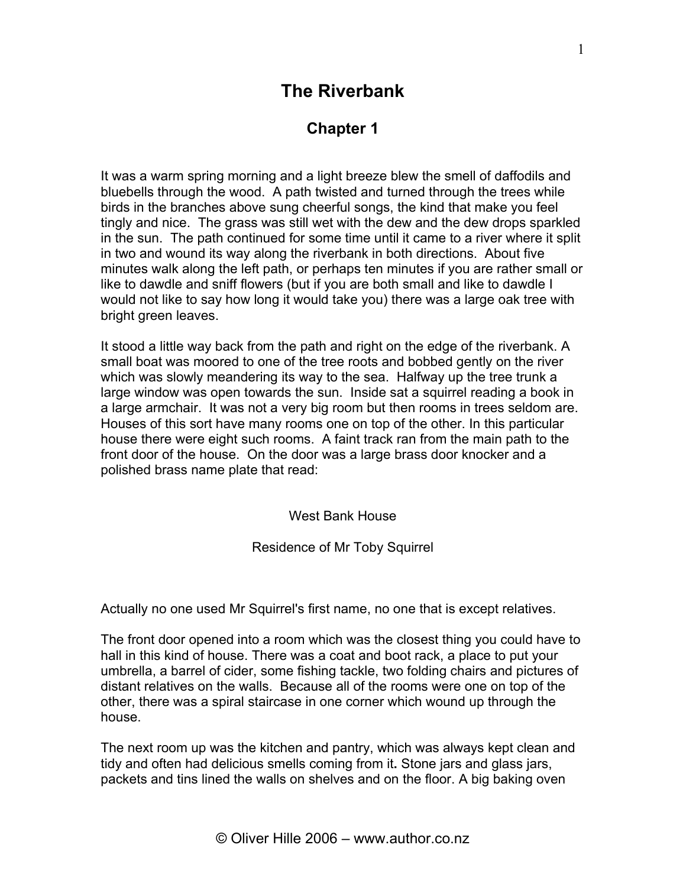## **The Riverbank**

## **Chapter 1**

It was a warm spring morning and a light breeze blew the smell of daffodils and bluebells through the wood. A path twisted and turned through the trees while birds in the branches above sung cheerful songs, the kind that make you feel tingly and nice. The grass was still wet with the dew and the dew drops sparkled in the sun. The path continued for some time until it came to a river where it split in two and wound its way along the riverbank in both directions. About five minutes walk along the left path, or perhaps ten minutes if you are rather small or like to dawdle and sniff flowers (but if you are both small and like to dawdle I would not like to say how long it would take you) there was a large oak tree with bright green leaves.

It stood a little way back from the path and right on the edge of the riverbank. A small boat was moored to one of the tree roots and bobbed gently on the river which was slowly meandering its way to the sea. Halfway up the tree trunk a large window was open towards the sun. Inside sat a squirrel reading a book in a large armchair. It was not a very big room but then rooms in trees seldom are. Houses of this sort have many rooms one on top of the other. In this particular house there were eight such rooms. A faint track ran from the main path to the front door of the house. On the door was a large brass door knocker and a polished brass name plate that read:

West Bank House

Residence of Mr Toby Squirrel

Actually no one used Mr Squirrel's first name, no one that is except relatives.

The front door opened into a room which was the closest thing you could have to hall in this kind of house. There was a coat and boot rack, a place to put your umbrella, a barrel of cider, some fishing tackle, two folding chairs and pictures of distant relatives on the walls. Because all of the rooms were one on top of the other, there was a spiral staircase in one corner which wound up through the house.

The next room up was the kitchen and pantry, which was always kept clean and tidy and often had delicious smells coming from it**.** Stone jars and glass jars, packets and tins lined the walls on shelves and on the floor. A big baking oven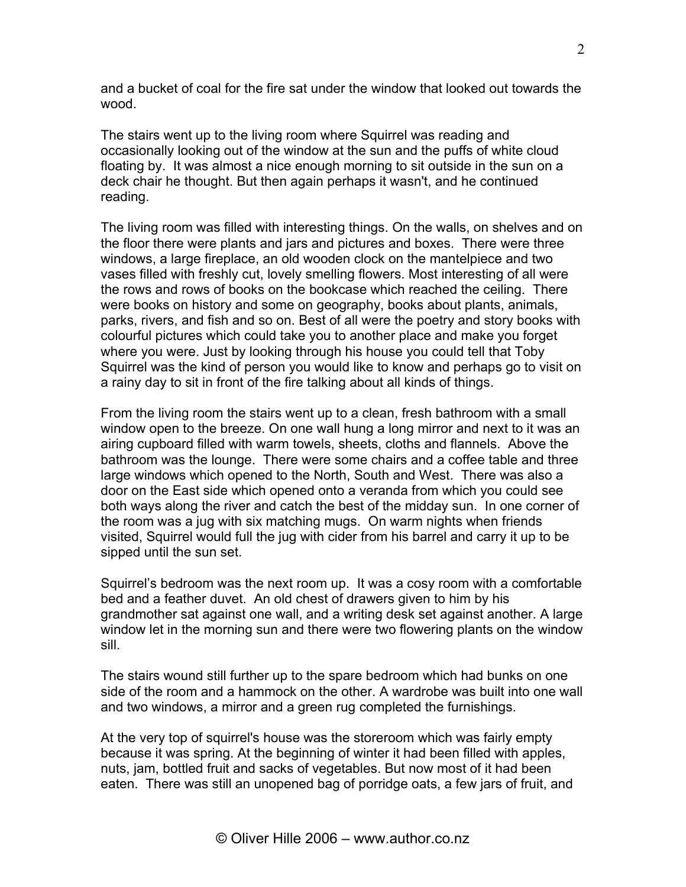and a bucket of coal for the fire sat under the window that looked out towards the wood.

The stairs went up to the living room where Squirrel was reading and occasionally looking out of the window at the sun and the puffs of white cloud floating by. It was almost a nice enough morning to sit outside in the sun on a deck chair he thought. But then again perhaps it wasn't, and he continued reading.

The living room was filled with interesting things. On the walls, on shelves and on the floor there were plants and jars and pictures and boxes. There were three windows, a large fireplace, an old wooden clock on the mantelpiece and two vases filled with freshly cut, lovely smelling flowers. Most interesting of all were the rows and rows of books on the bookcase which reached the ceiling. There were books on history and some on geography, books about plants, animals, parks, rivers, and fish and so on. Best of all were the poetry and story books with colourful pictures which could take you to another place and make you forget where you were. Just by looking through his house you could tell that Toby Squirrel was the kind of person you would like to know and perhaps go to visit on a rainy day to sit in front of the fire talking about all kinds of things.

From the living room the stairs went up to a clean, fresh bathroom with a small window open to the breeze. On one wall hung a long mirror and next to it was an airing cupboard filled with warm towels, sheets, cloths and flannels. Above the bathroom was the lounge. There were some chairs and a coffee table and three large windows which opened to the North, South and West. There was also a door on the East side which opened onto a veranda from which you could see both ways along the river and catch the best of the midday sun. In one corner of the room was a jug with six matching mugs. On warm nights when friends visited, Squirrel would full the jug with cider from his barrel and carry it up to be sipped until the sun set.

Squirrel's bedroom was the next room up. It was a cosy room with a comfortable bed and a feather duvet. An old chest of drawers given to him by his grandmother sat against one wall, and a writing desk set against another. A large window let in the morning sun and there were two flowering plants on the window sill.

The stairs wound still further up to the spare bedroom which had bunks on one side of the room and a hammock on the other. A wardrobe was built into one wall and two windows, a mirror and a green rug completed the furnishings.

At the very top of squirrel's house was the storeroom which was fairly empty because it was spring. At the beginning of winter it had been filled with apples, nuts, jam, bottled fruit and sacks of vegetables. But now most of it had been eaten. There was still an unopened bag of porridge oats, a few jars of fruit, and